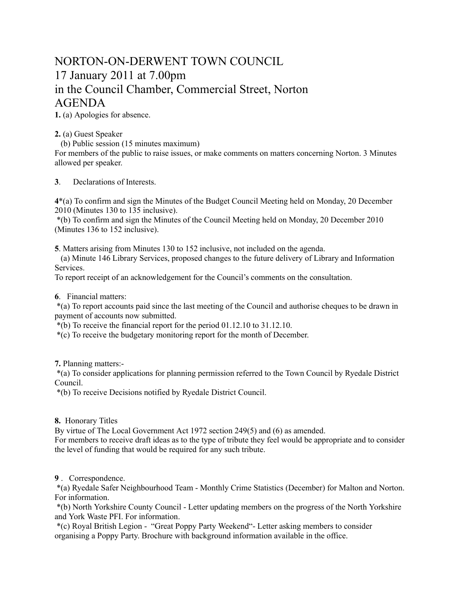## NORTON-ON-DERWENT TOWN COUNCIL 17 January 2011 at 7.00pm in the Council Chamber, Commercial Street, Norton AGENDA

**1.** (a) Apologies for absence.

**2.** (a) Guest Speaker

(b) Public session (15 minutes maximum)

For members of the public to raise issues, or make comments on matters concerning Norton. 3 Minutes allowed per speaker.

**3**. Declarations of Interests.

**4**\*(a) To confirm and sign the Minutes of the Budget Council Meeting held on Monday, 20 December 2010 (Minutes 130 to 135 inclusive).

 \*(b) To confirm and sign the Minutes of the Council Meeting held on Monday, 20 December 2010 (Minutes 136 to 152 inclusive).

**5**. Matters arising from Minutes 130 to 152 inclusive, not included on the agenda.

 (a) Minute 146 Library Services, proposed changes to the future delivery of Library and Information Services.

To report receipt of an acknowledgement for the Council's comments on the consultation.

**6**. Financial matters:

 \*(a) To report accounts paid since the last meeting of the Council and authorise cheques to be drawn in payment of accounts now submitted.

 $*(b)$  To receive the financial report for the period 01.12.10 to 31.12.10.

\*(c) To receive the budgetary monitoring report for the month of December.

**7.** Planning matters:-

 \*(a) To consider applications for planning permission referred to the Town Council by Ryedale District Council.

\*(b) To receive Decisions notified by Ryedale District Council.

**8.** Honorary Titles

By virtue of The Local Government Act 1972 section 249(5) and (6) as amended.

For members to receive draft ideas as to the type of tribute they feel would be appropriate and to consider the level of funding that would be required for any such tribute.

**9** . Correspondence.

 \*(a) Ryedale Safer Neighbourhood Team - Monthly Crime Statistics (December) for Malton and Norton. For information.

 \*(b) North Yorkshire County Council - Letter updating members on the progress of the North Yorkshire and York Waste PFI. For information.

 \*(c) Royal British Legion - "Great Poppy Party Weekend"- Letter asking members to consider organising a Poppy Party. Brochure with background information available in the office.